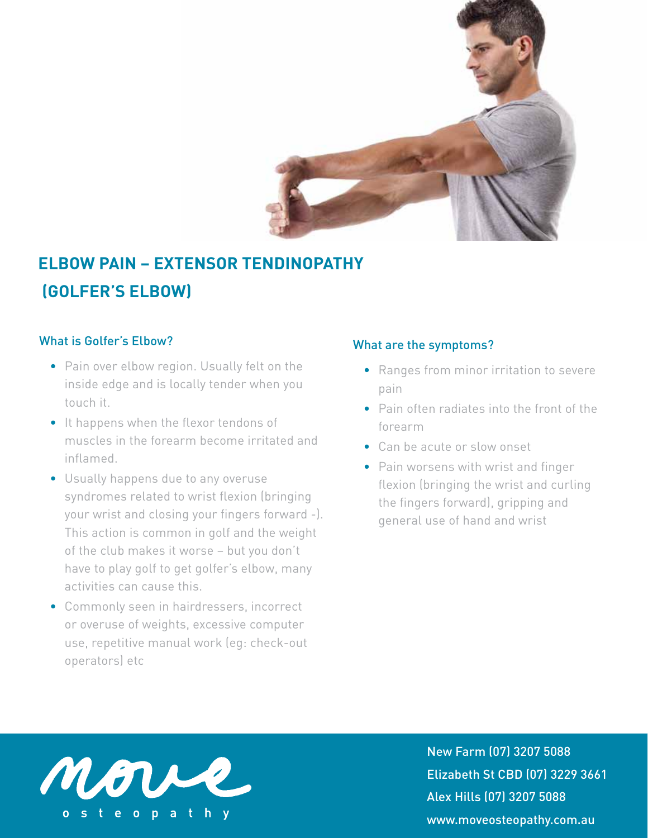

# **ELBOW PAIN – EXTENSOR TENDINOPATHY (GOLFER'S ELBOW)**

## What is Golfer's Elbow?

- Pain over elbow region. Usually felt on the inside edge and is locally tender when you touch it.
- It happens when the flexor tendons of muscles in the forearm become irritated and inflamed.
- Usually happens due to any overuse syndromes related to wrist flexion (bringing your wrist and closing your fingers forward -). This action is common in golf and the weight of the club makes it worse – but you don't have to play golf to get golfer's elbow, many activities can cause this.
- Commonly seen in hairdressers, incorrect or overuse of weights, excessive computer use, repetitive manual work (eg: check-out operators) etc

# What are the symptoms?

- Ranges from minor irritation to severe pain
- Pain often radiates into the front of the forearm
- Can be acute or slow onset
- Pain worsens with wrist and finger flexion (bringing the wrist and curling the fingers forward), gripping and general use of hand and wrist



New Farm (07) 3207 5088 Elizabeth St CBD (07) 3229 3661 Alex Hills (07) 3207 5088 www.moveosteopathy.com.au